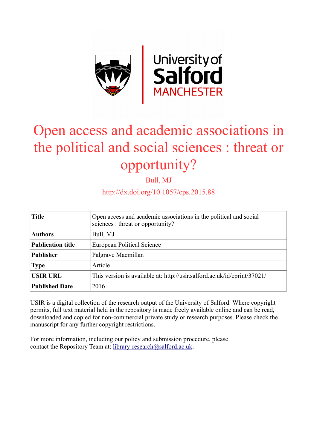

# Open access and academic associations in the political and social sciences : threat or opportunity?

Bull, MJ

http://dx.doi.org/10.1057/eps.2015.88

| <b>Title</b>             | Open access and academic associations in the political and social<br>sciences : threat or opportunity? |
|--------------------------|--------------------------------------------------------------------------------------------------------|
| <b>Authors</b>           | Bull, MJ                                                                                               |
| <b>Publication title</b> | European Political Science                                                                             |
| <b>Publisher</b>         | Palgrave Macmillan                                                                                     |
| <b>Type</b>              | Article                                                                                                |
| <b>USIR URL</b>          | This version is available at: http://usir.salford.ac.uk/id/eprint/37021/                               |
| <b>Published Date</b>    | 2016                                                                                                   |

USIR is a digital collection of the research output of the University of Salford. Where copyright permits, full text material held in the repository is made freely available online and can be read, downloaded and copied for non-commercial private study or research purposes. Please check the manuscript for any further copyright restrictions.

For more information, including our policy and submission procedure, please contact the Repository Team at: [library-research@salford.ac.uk.](mailto:library-research@salford.ac.uk)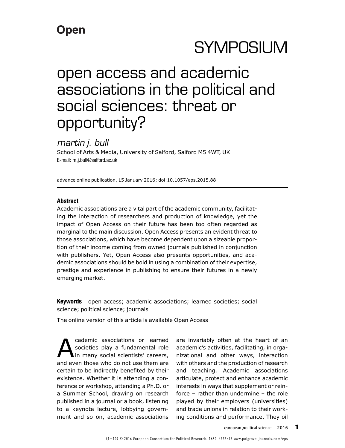### **Open**

## **SYMPOSIUM**

## open access and academic associations in the political and social sciences: threat or opportunity?

martin j. bull

School of Arts & Media, University of Salford, Salford M5 4WT, UK E-mail: m.j.bull@salford.ac.uk

advance online publication, 15 January 2016; doi:10.1057/eps.2015.88

#### Abstract

Academic associations are a vital part of the academic community, facilitating the interaction of researchers and production of knowledge, yet the impact of Open Access on their future has been too often regarded as marginal to the main discussion. Open Access presents an evident threat to those associations, which have become dependent upon a sizeable proportion of their income coming from owned journals published in conjunction with publishers. Yet, Open Access also presents opportunities, and academic associations should be bold in using a combination of their expertise, prestige and experience in publishing to ensure their futures in a newly emerging market.

**Keywords** open access; academic associations; learned societies; social science; political science; journals

The online version of this article is available Open Access

Cademic associations or learned<br>societies play a fundamental role<br>in many social scientists' careers, societies play a fundamental role in many social scientists' careers, and even those who do not use them are certain to be indirectly benefited by their existence. Whether it is attending a conference or workshop, attending a Ph.D. or a Summer School, drawing on research published in a journal or a book, listening to a keynote lecture, lobbying government and so on, academic associations

are invariably often at the heart of an academic's activities, facilitating, in organizational and other ways, interaction with others and the production of research and teaching. Academic associations articulate, protect and enhance academic interests in ways that supplement or reinforce – rather than undermine – the role played by their employers (universities) and trade unions in relation to their working conditions and performance. They oil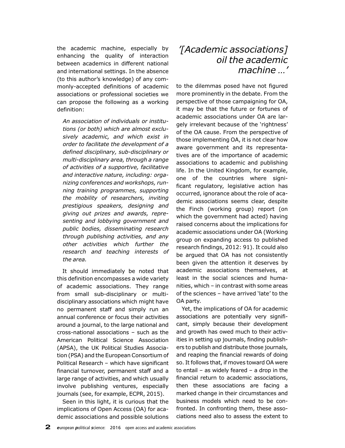the academic machine, especially by enhancing the quality of interaction between academics in different national and international settings. In the absence (to this author's knowledge) of any commonly-accepted definitions of academic associations or professional societies we can propose the following as a working definition:

An association of individuals or institutions (or both) which are almost exclusively academic, and which exist in order to facilitate the development of a defined disciplinary, sub-disciplinary or multi-disciplinary area, through a range of activities of a supportive, facilitative and interactive nature, including: organizing conferences and workshops, running training programmes, supporting the mobility of researchers, inviting prestigious speakers, designing and giving out prizes and awards, representing and lobbying government and public bodies, disseminating research through publishing activities, and any other activities which further the research and teaching interests of the area.

It should immediately be noted that this definition encompasses a wide variety of academic associations. They range from small sub-disciplinary or multidisciplinary associations which might have no permanent staff and simply run an annual conference or focus their activities around a journal, to the large national and cross-national associations – such as the American Political Science Association (APSA), the UK Political Studies Association (PSA) and the European Consortium of Political Research – which have significant financial turnover, permanent staff and a large range of activities, and which usually involve publishing ventures, especially journals (see, for example, ECPR, 2015).

Seen in this light, it is curious that the implications of Open Access (OA) for academic associations and possible solutions

### '[Academic associations] oil the academic machine …'

to the dilemmas posed have not figured more prominently in the debate. From the perspective of those campaigning for OA, it may be that the future or fortunes of academic associations under OA are largely irrelevant because of the 'rightness' of the OA cause. From the perspective of those implementing OA, it is not clear how aware government and its representatives are of the importance of academic associations to academic and publishing life. In the United Kingdom, for example, one of the countries where significant regulatory, legislative action has occurred, ignorance about the role of academic associations seems clear, despite the Finch (working group) report (on which the government had acted) having raised concerns about the implications for academic associations under OA ([Working](#page-10-0) [group on expanding access to published](#page-10-0) [research findings, 2012:](#page-10-0) 91). It could also be argued that OA has not consistently been given the attention it deserves by academic associations themselves, at least in the social sciences and humanities, which – in contrast with some areas of the sciences – have arrived 'late' to the OA party.

Yet, the implications of OA for academic associations are potentially very significant, simply because their development and growth has owed much to their activities in setting up journals, finding publishers to publish and distribute those journals, and reaping the financial rewards of doing so. It follows that, if moves toward OA were to entail – as widely feared – a drop in the financial return to academic associations, then these associations are facing a marked change in their circumstances and business models which need to be confronted. In confronting them, these associations need also to assess the extent to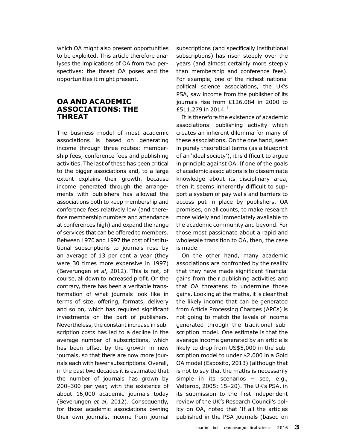which OA might also present opportunities to be exploited. This article therefore analyses the implications of OA from two perspectives: the threat OA poses and the opportunities it might present.

#### OA AND ACADEMIC ASSOCIATIONS: THE THREAT

The business model of most academic associations is based on generating income through three routes: membership fees, conference fees and publishing activities. The last of these has been critical to the bigger associations and, to a large extent explains their growth, because income generated through the arrangements with publishers has allowed the associations both to keep membership and conference fees relatively low (and therefore membership numbers and attendance at conferences high) and expand the range of services that can be offered to members. Between 1970 and 1997 the cost of institutional subscriptions to journals rose by an average of 13 per cent a year (they were 30 times more expensive in 1997) [\(Beverungen](#page-10-0) et al, 2012). This is not, of course, all down to increased profit. On the contrary, there has been a veritable transformation of what journals look like in terms of size, offering, formats, delivery and so on, which has required significant investments on the part of publishers. Nevertheless, the constant increase in subscription costs has led to a decline in the average number of subscriptions, which has been offset by the growth in new journals, so that there are now more journals each with fewer subscriptions. Overall, in the past two decades it is estimated that the number of journals has grown by 200–300 per year, with the existence of about 16,000 academic journals today [\(Beverungen](#page-10-0) et al, 2012). Consequently, for those academic associations owning their own journals, income from journal

subscriptions (and specifically institutional subscriptions) has risen steeply over the years (and almost certainly more steeply than membership and conference fees). For example, one of the richest national political science associations, the UK's PSA, saw income from the publisher of its journals rise from £126,084 in 2000 to £511,279 in 2014.<sup>1</sup>

It is therefore the existence of academic associations' publishing activity which creates an inherent dilemma for many of these associations. On the one hand, seen in purely theoretical terms (as a blueprint of an 'ideal society'), it is difficult to argue in principle against OA. If one of the goals of academic associations is to disseminate knowledge about its disciplinary area, then it seems inherently difficult to support a system of pay walls and barriers to access put in place by publishers. OA promises, on all counts, to make research more widely and immediately available to the academic community and beyond. For those most passionate about a rapid and wholesale transition to OA, then, the case is made.

On the other hand, many academic associations are confronted by the reality that they have made significant financial gains from their publishing activities and that OA threatens to undermine those gains. Looking at the maths, it is clear that the likely income that can be generated from Article Processing Charges (APCs) is not going to match the levels of income generated through the traditional subscription model. One estimate is that the average income generated by an article is likely to drop from US\$5,000 in the subscription model to under \$2,000 in a Gold OA model [\(Esposito, 2013\)](#page-10-0) (although that is not to say that the maths is necessarily simple in its scenarios – see, e.g., [Velterop, 2005:](#page-10-0) 15–20). The UK's PSA, in its submission to the first independent review of the UK's Research Council's policy on OA, noted that 'If all the articles published in the PSA journals (based on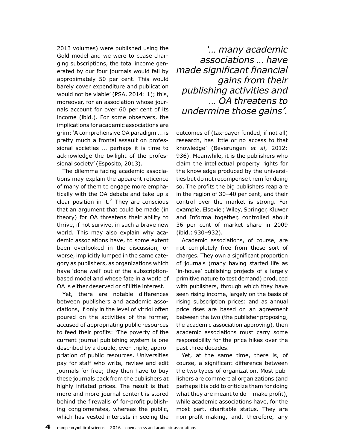2013 volumes) were published using the Gold model and we were to cease charging subscriptions, the total income generated by our four journals would fall by approximately 50 per cent. This would barely cover expenditure and publication would not be viable' [\(PSA, 2014:](#page-10-0) 1); this, moreover, for an association whose journals account for over 60 per cent of its income (ibid.). For some observers, the implications for academic associations are grim: 'A comprehensive OA paradigm … is pretty much a frontal assault on professional societies … perhaps it is time to acknowledge the twilight of the professional society' ([Esposito, 2013\)](#page-10-0).

The dilemma facing academic associations may explain the apparent reticence of many of them to engage more emphatically with the OA debate and take up a clear position in it.<sup>2</sup> They are conscious that an argument that could be made (in theory) for OA threatens their ability to thrive, if not survive, in such a brave new world. This may also explain why academic associations have, to some extent been overlooked in the discussion, or worse, implicitly lumped in the same category as publishers, as organizations which have 'done well' out of the subscriptionbased model and whose fate in a world of OA is either deserved or of little interest.

Yet, there are notable differences between publishers and academic associations, if only in the level of vitriol often poured on the activities of the former, accused of appropriating public resources to feed their profits: 'The poverty of the current journal publishing system is one described by a double, even triple, appropriation of public resources. Universities pay for staff who write, review and edit journals for free; they then have to buy these journals back from the publishers at highly inflated prices. The result is that more and more journal content is stored behind the firewalls of for-profit publishing conglomerates, whereas the public, which has vested interests in seeing the

'… many academic associations … have made significant financial gains from their publishing activities and … OA threatens to undermine those gains'.

outcomes of (tax-payer funded, if not all) research, has little or no access to that knowledge' ([Beverungen](#page-10-0) et al, 2012: 936). Meanwhile, it is the publishers who claim the intellectual property rights for the knowledge produced by the universities but do not recompense them for doing so. The profits the big publishers reap are in the region of 30–40 per cent, and their control over the market is strong. For example, Elsevier, Wiley, Springer, Kluwer and Informa together, controlled about 36 per cent of market share in 2009 (ibid.: 930–932).

Academic associations, of course, are not completely free from these sort of charges. They own a significant proportion of journals (many having started life as 'in-house' publishing projects of a largely primitive nature to test demand) produced with publishers, through which they have seen rising income, largely on the basis of rising subscription prices: and as annual price rises are based on an agreement between the two (the publisher proposing, the academic association approving), then academic associations must carry some responsibility for the price hikes over the past three decades.

Yet, at the same time, there is, of course, a significant difference between the two types of organization. Most publishers are commercial organizations (and perhaps it is odd to criticize them for doing what they are meant to do – make profit), while academic associations have, for the most part, charitable status. They are non-profit-making, and, therefore, any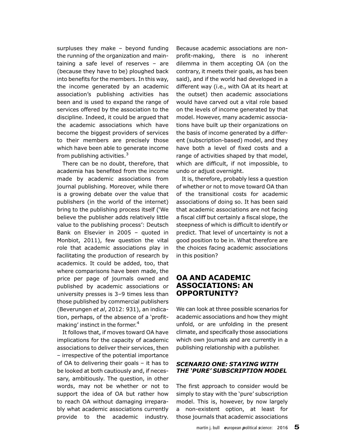surpluses they make – beyond funding the running of the organization and maintaining a safe level of reserves – are (because they have to be) ploughed back into benefits for the members. In this way, the income generated by an academic association's publishing activities has been and is used to expand the range of services offered by the association to the discipline. Indeed, it could be argued that the academic associations which have become the biggest providers of services to their members are precisely those which have been able to generate income from publishing activities.<sup>3</sup>

There can be no doubt, therefore, that academia has benefited from the income made by academic associations from journal publishing. Moreover, while there is a growing debate over the value that publishers (in the world of the internet) bring to the publishing process itself ('We believe the publisher adds relatively little value to the publishing process': Deutsch Bank on Elsevier in 2005 – quoted in [Monbiot, 2011\)](#page-10-0), few question the vital role that academic associations play in facilitating the production of research by academics. It could be added, too, that where comparisons have been made, the price per page of journals owned and published by academic associations or university presses is 3–9 times less than those published by commercial publishers [\(Beverungen](#page-10-0) et al, 2012: 931), an indication, perhaps, of the absence of a 'profitmaking' instinct in the former.<sup>4</sup>

It follows that, if moves toward OA have implications for the capacity of academic associations to deliver their services, then – irrespective of the potential importance of OA to delivering their goals – it has to be looked at both cautiously and, if necessary, ambitiously. The question, in other words, may not be whether or not to support the idea of OA but rather how to reach OA without damaging irreparably what academic associations currently provide to the academic industry. Because academic associations are nonprofit-making, there is no inherent dilemma in them accepting OA (on the contrary, it meets their goals, as has been said), and if the world had developed in a different way (i.e., with OA at its heart at the outset) then academic associations would have carved out a vital role based on the levels of income generated by that model. However, many academic associations have built up their organizations on the basis of income generated by a different (subscription-based) model, and they have both a level of fixed costs and a range of activities shaped by that model, which are difficult, if not impossible, to undo or adjust overnight.

It is, therefore, probably less a question of whether or not to move toward OA than of the transitional costs for academic associations of doing so. It has been said that academic associations are not facing a fiscal cliff but certainly a fiscal slope, the steepness of which is difficult to identify or predict. That level of uncertainty is not a good position to be in. What therefore are the choices facing academic associations in this position?

#### OA AND ACADEMIC ASSOCIATIONS: AN OPPORTUNITY?

We can look at three possible scenarios for academic associations and how they might unfold, or are unfolding in the present climate, and specifically those associations which own journals and are currently in a publishing relationship with a publisher.

#### SCENARIO ONE: STAYING WITH THE 'PURE' SUBSCRIPTION MODEL

The first approach to consider would be simply to stay with the 'pure' subscription model. This is, however, by now largely a non-existent option, at least for those journals that academic associations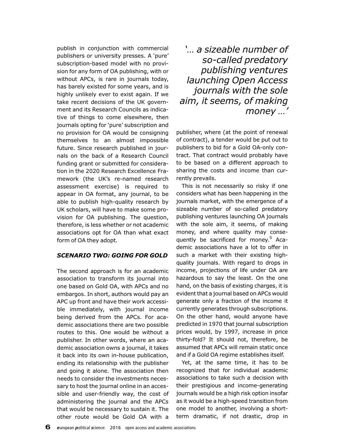publish in conjunction with commercial publishers or university presses. A 'pure' subscription-based model with no provision for any form of OA publishing, with or without APCs, is rare in journals today, has barely existed for some years, and is highly unlikely ever to exist again. If we take recent decisions of the UK government and its Research Councils as indicative of things to come elsewhere, then journals opting for 'pure' subscription and no provision for OA would be consigning themselves to an almost impossible future. Since research published in journals on the back of a Research Council funding grant or submitted for consideration in the 2020 Research Excellence Framework (the UK's re-named research assessment exercise) is required to appear in OA format, any journal, to be able to publish high-quality research by UK scholars, will have to make some provision for OA publishing. The question, therefore, is less whether or not academic associations opt for OA than what exact form of OA they adopt.

#### SCENARIO TWO: GOING FOR GOLD

The second approach is for an academic association to transform its journal into one based on Gold OA, with APCs and no embargos. In short, authors would pay an APC up front and have their work accessible immediately, with journal income being derived from the APCs. For academic associations there are two possible routes to this. One would be without a publisher. In other words, where an academic association owns a journal, it takes it back into its own in-house publication, ending its relationship with the publisher and going it alone. The association then needs to consider the investments necessary to host the journal online in an accessible and user-friendly way, the cost of administering the journal and the APCs that would be necessary to sustain it. The other route would be Gold OA with a

'… a sizeable number of so-called predatory publishing ventures launching Open Access journals with the sole aim, it seems, of making money …'

publisher, where (at the point of renewal of contract), a tender would be put out to publishers to bid for a Gold OA-only contract. That contract would probably have to be based on a different approach to sharing the costs and income than currently prevails.

This is not necessarily so risky if one considers what has been happening in the journals market, with the emergence of a sizeable number of so-called predatory publishing ventures launching OA journals with the sole aim, it seems, of making money, and where quality may consequently be sacrificed for money.<sup>5</sup> Academic associations have a lot to offer in such a market with their existing highquality journals. With regard to drops in income, projections of life under OA are hazardous to say the least. On the one hand, on the basis of existing charges, it is evident that a journal based on APCs would generate only a fraction of the income it currently generates through subscriptions. On the other hand, would anyone have predicted in 1970 that journal subscription prices would, by 1997, increase in price thirty-fold? It should not, therefore, be assumed that APCs will remain static once and if a Gold OA regime establishes itself.

Yet, at the same time, it has to be recognized that for individual academic associations to take such a decision with their prestigious and income-generating journals would be a high risk option insofar as it would be a high-speed transition from one model to another, involving a shortterm dramatic, if not drastic, drop in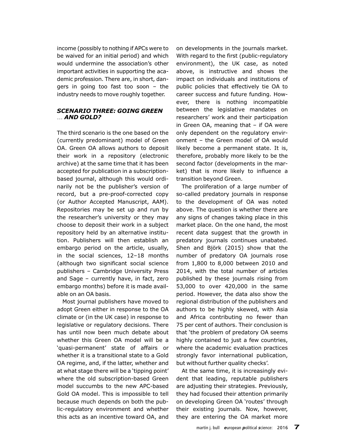income (possibly to nothing if APCs were to be waived for an initial period) and which would undermine the association's other important activities in supporting the academic profession. There are, in short, dangers in going too fast too soon – the industry needs to move roughly together.

#### SCENARIO THREE: GOING GREEN … AND GOLD?

The third scenario is the one based on the (currently predominant) model of Green OA. Green OA allows authors to deposit their work in a repository (electronic archive) at the same time that it has been accepted for publication in a subscriptionbased journal, although this would ordinarily not be the publisher's version of record, but a pre-proof-corrected copy (or Author Accepted Manuscript, AAM). Repositories may be set up and run by the researcher's university or they may choose to deposit their work in a subject repository held by an alternative institution. Publishers will then establish an embargo period on the article, usually, in the social sciences, 12–18 months (although two significant social science publishers – Cambridge University Press and Sage – currently have, in fact, zero embargo months) before it is made available on an OA basis.

Most journal publishers have moved to adopt Green either in response to the OA climate or (in the UK case) in response to legislative or regulatory decisions. There has until now been much debate about whether this Green OA model will be a 'quasi-permanent' state of affairs or whether it is a transitional state to a Gold OA regime, and, if the latter, whether and at what stage there will be a 'tipping point' where the old subscription-based Green model succumbs to the new APC-based Gold OA model. This is impossible to tell because much depends on both the public-regulatory environment and whether this acts as an incentive toward OA, and

on developments in the journals market. With regard to the first (public-regulatory environment), the UK case, as noted above, is instructive and shows the impact on individuals and institutions of public policies that effectively tie OA to career success and future funding. However, there is nothing incompatible between the legislative mandates on researchers' work and their participation in Green OA, meaning that – if OA were only dependent on the regulatory environment – the Green model of OA would likely become a permanent state. It is, therefore, probably more likely to be the second factor (developments in the market) that is more likely to influence a transition beyond Green.

The proliferation of a large number of so-called predatory journals in response to the development of OA was noted above. The question is whether there are any signs of changes taking place in this market place. On the one hand, the most recent data suggest that the growth in predatory journals continues unabated. [Shen and Björk \(2015\)](#page-10-0) show that the number of predatory OA journals rose from 1,800 to 8,000 between 2010 and 2014, with the total number of articles published by these journals rising from 53,000 to over 420,000 in the same period. However, the data also show the regional distribution of the publishers and authors to be highly skewed, with Asia and Africa contributing no fewer than 75 per cent of authors. Their conclusion is that 'the problem of predatory OA seems highly contained to just a few countries, where the academic evaluation practices strongly favor international publication, but without further quality checks'.

At the same time, it is increasingly evident that leading, reputable publishers are adjusting their strategies. Previously, they had focused their attention primarily on developing Green OA 'routes' through their existing journals. Now, however, they are entering the OA market more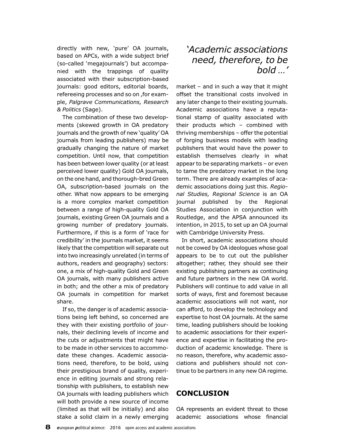directly with new, 'pure' OA journals, based on APCs, with a wide subject brief (so-called 'megajournals') but accompanied with the trappings of quality associated with their subscription-based journals: good editors, editorial boards, refereeing processes and so on ,for example, Palgrave Communications, Research & Politics (Sage).

The combination of these two developments (skewed growth in OA predatory journals and the growth of new 'quality' OA journals from leading publishers) may be gradually changing the nature of market competition. Until now, that competition has been between lower quality (or at least perceived lower quality) Gold OA journals, on the one hand, and thorough-bred Green OA, subscription-based journals on the other. What now appears to be emerging is a more complex market competition between a range of high-quality Gold OA journals, existing Green OA journals and a growing number of predatory journals. Furthermore, if this is a form of 'race for credibility' in the journals market, it seems likely that the competition will separate out into two increasingly unrelated (in terms of authors, readers and geography) sectors: one, a mix of high-quality Gold and Green OA journals, with many publishers active in both; and the other a mix of predatory OA journals in competition for market share.

If so, the danger is of academic associations being left behind, so concerned are they with their existing portfolio of journals, their declining levels of income and the cuts or adjustments that might have to be made in other services to accommodate these changes. Academic associations need, therefore, to be bold, using their prestigious brand of quality, experience in editing journals and strong relationship with publishers, to establish new OA journals with leading publishers which will both provide a new source of income (limited as that will be initially) and also stake a solid claim in a newly emerging

### 'Academic associations need, therefore, to be bold …'

market – and in such a way that it might offset the transitional costs involved in any later change to their existing journals. Academic associations have a reputational stamp of quality associated with their products which – combined with thriving memberships – offer the potential of forging business models with leading publishers that would have the power to establish themselves clearly in what appear to be separating markets – or even to tame the predatory market in the long term. There are already examples of academic associations doing just this. Regional Studies, Regional Science is an OA journal published by the Regional Studies Association in conjunction with Routledge, and the APSA announced its intention, in 2015, to set up an OA journal with Cambridge University Press.

In short, academic associations should not be cowed by OA ideologues whose goal appears to be to cut out the publisher altogether; rather, they should see their existing publishing partners as continuing and future partners in the new OA world. Publishers will continue to add value in all sorts of ways, first and foremost because academic associations will not want, nor can afford, to develop the technology and expertise to host OA journals. At the same time, leading publishers should be looking to academic associations for their experience and expertise in facilitating the production of academic knowledge. There is no reason, therefore, why academic associations and publishers should not continue to be partners in any new OA regime.

#### **CONCLUSION**

OA represents an evident threat to those academic associations whose financial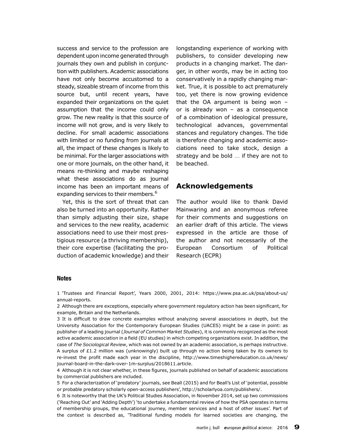success and service to the profession are dependent upon income generated through journals they own and publish in conjunction with publishers. Academic associations have not only become accustomed to a steady, sizeable stream of income from this source but, until recent years, have expanded their organizations on the quiet assumption that the income could only grow. The new reality is that this source of income will not grow, and is very likely to decline. For small academic associations with limited or no funding from journals at all, the impact of these changes is likely to be minimal. For the larger associations with one or more journals, on the other hand, it means re-thinking and maybe reshaping what these associations do as journal income has been an important means of expanding services to their members.<sup>6</sup>

Yet, this is the sort of threat that can also be turned into an opportunity. Rather than simply adjusting their size, shape and services to the new reality, academic associations need to use their most prestigious resource (a thriving membership), their core expertise (facilitating the production of academic knowledge) and their longstanding experience of working with publishers, to consider developing new products in a changing market. The danger, in other words, may be in acting too conservatively in a rapidly changing market. True, it is possible to act prematurely too, yet there is now growing evidence that the OA argument is being won – or is already won – as a consequence of a combination of ideological pressure, technological advances, governmental stances and regulatory changes. The tide is therefore changing and academic associations need to take stock, design a strategy and be bold … if they are not to be beached.

#### Acknowledgements

The author would like to thank David Mainwaring and an anonymous referee for their comments and suggestions on an earlier draft of this article. The views expressed in the article are those of the author and not necessarily of the European Consortium of Political Research (ECPR)

#### **Notes**

1 'Trustees and Financial Report', Years 2000, 2001, 2014: [https://www.psa.ac.uk/psa/about-us/](https://www.psa.ac.uk/psa/about-us/annual-reports) [annual-reports.](https://www.psa.ac.uk/psa/about-us/annual-reports)

2 Although there are exceptions, especially where government regulatory action has been significant, for example, Britain and the Netherlands.

3 It is difficult to draw concrete examples without analyzing several associations in depth, but the University Association for the Contemporary European Studies (UACES) might be a case in point: as publisher of a leading journal (Journal of Common Market Studies), it is commonly recognized as the most active academic association in a field (EU studies) in which competing organizations exist. In addition, the case of The Sociological Review, which was not owned by an academic association, is perhaps instructive. A surplus of £1.2 million was (unknowingly) built up through no action being taken by its owners to re-invest the profit made each year in the discipline, [http://www.timeshighereducation.co.uk/news/](http://www.timeshighereducation.co.uk/news/journal-board-in-the-dark-over-1m-surplus/2018611.article) [journal-board-in-the-dark-over-1m-surplus/2018611.article.](http://www.timeshighereducation.co.uk/news/journal-board-in-the-dark-over-1m-surplus/2018611.article)

4 Although it is not clear whether, in these figures, journals published on behalf of academic associations by commercial publishers are included.

5 For a characterization of 'predatory' journals, see [Beall \(2015\)](#page-10-0) and for Beall's List of 'potential, possible or probable predatory scholarly open-access publishers', [http://scholarlyoa.com/publishers/.](http://scholarlyoa.com/publishers/)

6 It is noteworthy that the UK's Political Studies Association, in November 2014, set up two commissions ('Reaching Out' and 'Adding Depth') 'to undertake a fundamental review of how the PSA operates in terms of membership groups, the educational journey, member services and a host of other issues'. Part of the context is described as, 'Traditional funding models for learned societies are changing, the